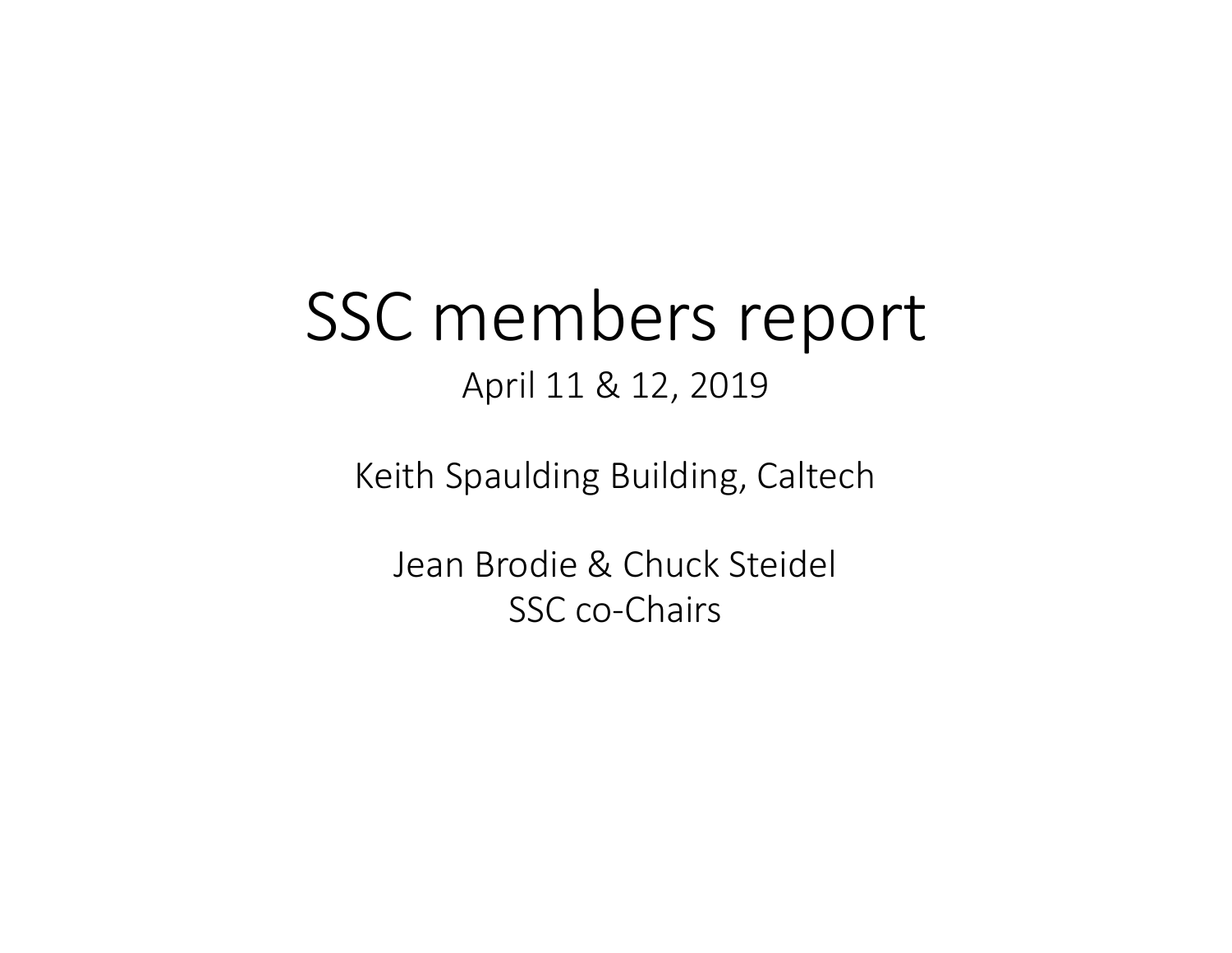# SSC members report April 11 & 12, 2019

Keith Spaulding Building, Caltech

Jean Brodie & Chuck Steidel SSC co-Chairs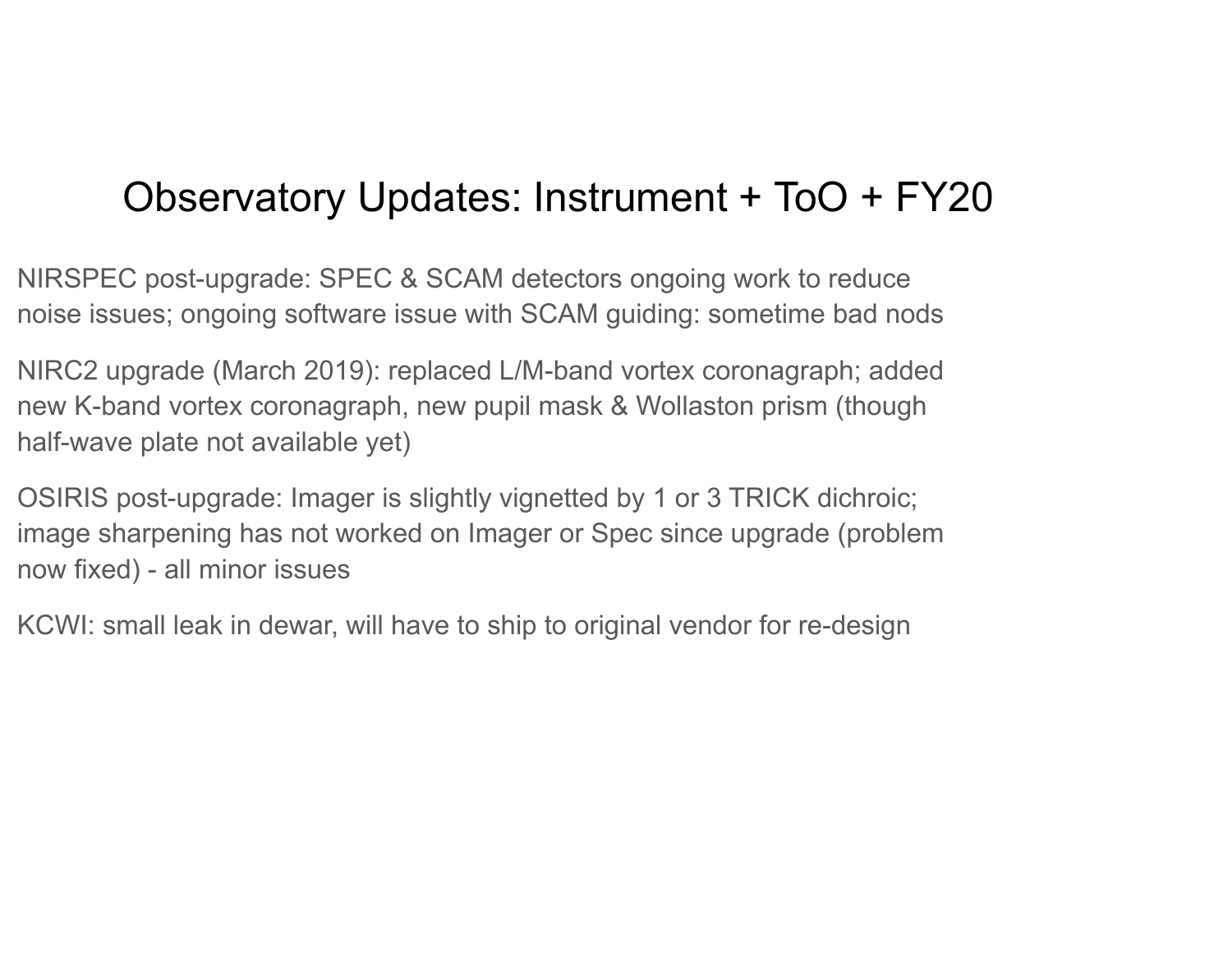#### Observatory Updates: Instrument + ToO + FY20

NIRSPEC post-upgrade: SPEC & SCAM detectors ongoing work to reduce noise issues; ongoing software issue with SCAM guiding: sometime bad nods

NIRC2 upgrade (March 2019): replaced L/M-band vortex coronagraph; added new K-band vortex coronagraph, new pupil mask & Wollaston prism (though half-wave plate not available yet)

OSIRIS post-upgrade: Imager is slightly vignetted by 1 or 3 TRICK dichroic; image sharpening has not worked on Imager or Spec since upgrade (problem now fixed) - all minor issues

KCWI: small leak in dewar, will have to ship to original vendor for re-design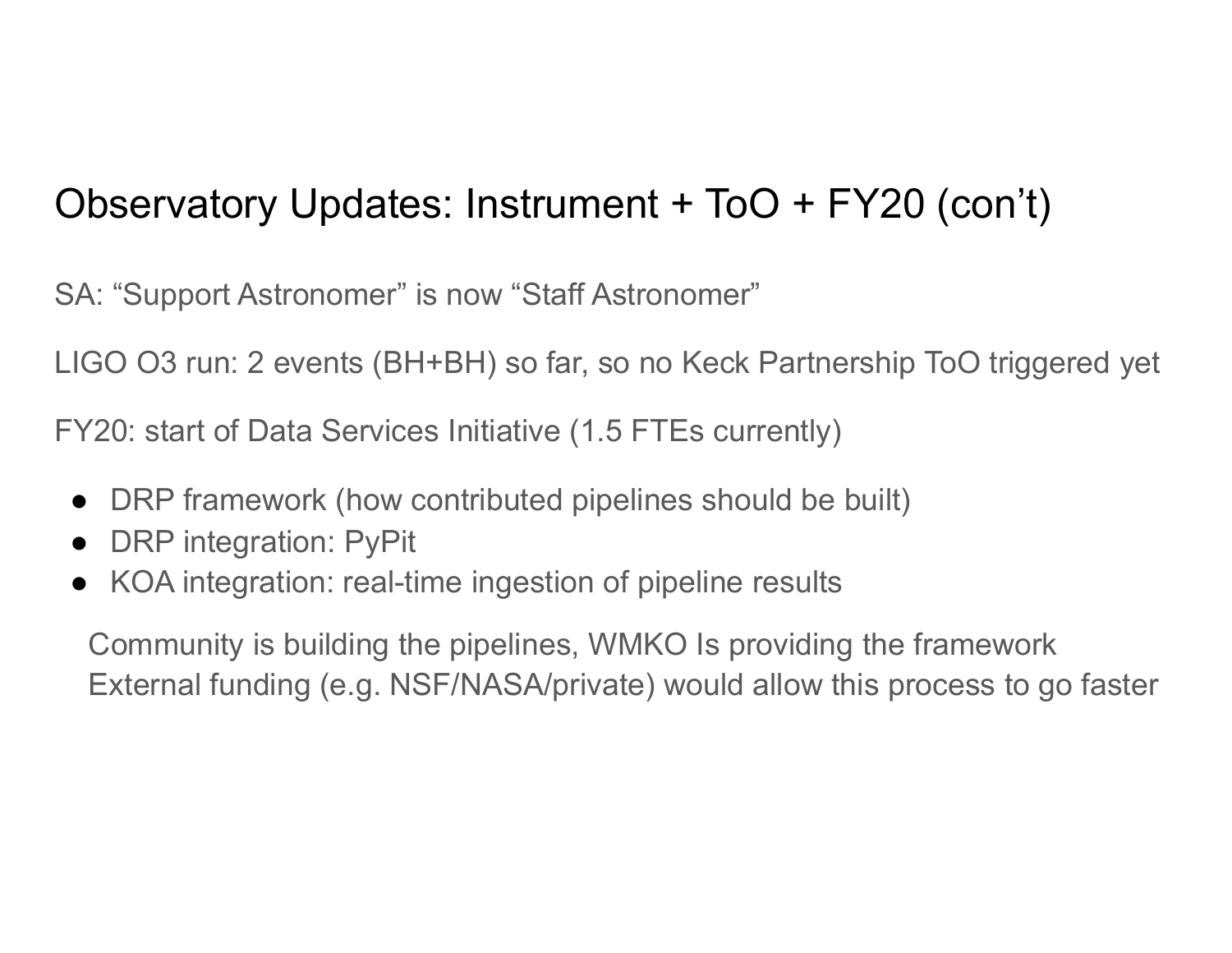#### Observatory Updates: Instrument + ToO + FY20 (con't)

SA: "Support Astronomer" is now "Staff Astronomer"

LIGO O3 run: 2 events (BH+BH) so far, so no Keck Partnership ToO triggered yet

FY20: start of Data Services Initiative (1.5 FTEs currently)

- DRP framework (how contributed pipelines should be built)
- DRP integration: PyPit
- KOA integration: real-time ingestion of pipeline results

 Community is building the pipelines, WMKO Is providing the framework External funding (e.g. NSF/NASA/private) would allow this process to go faster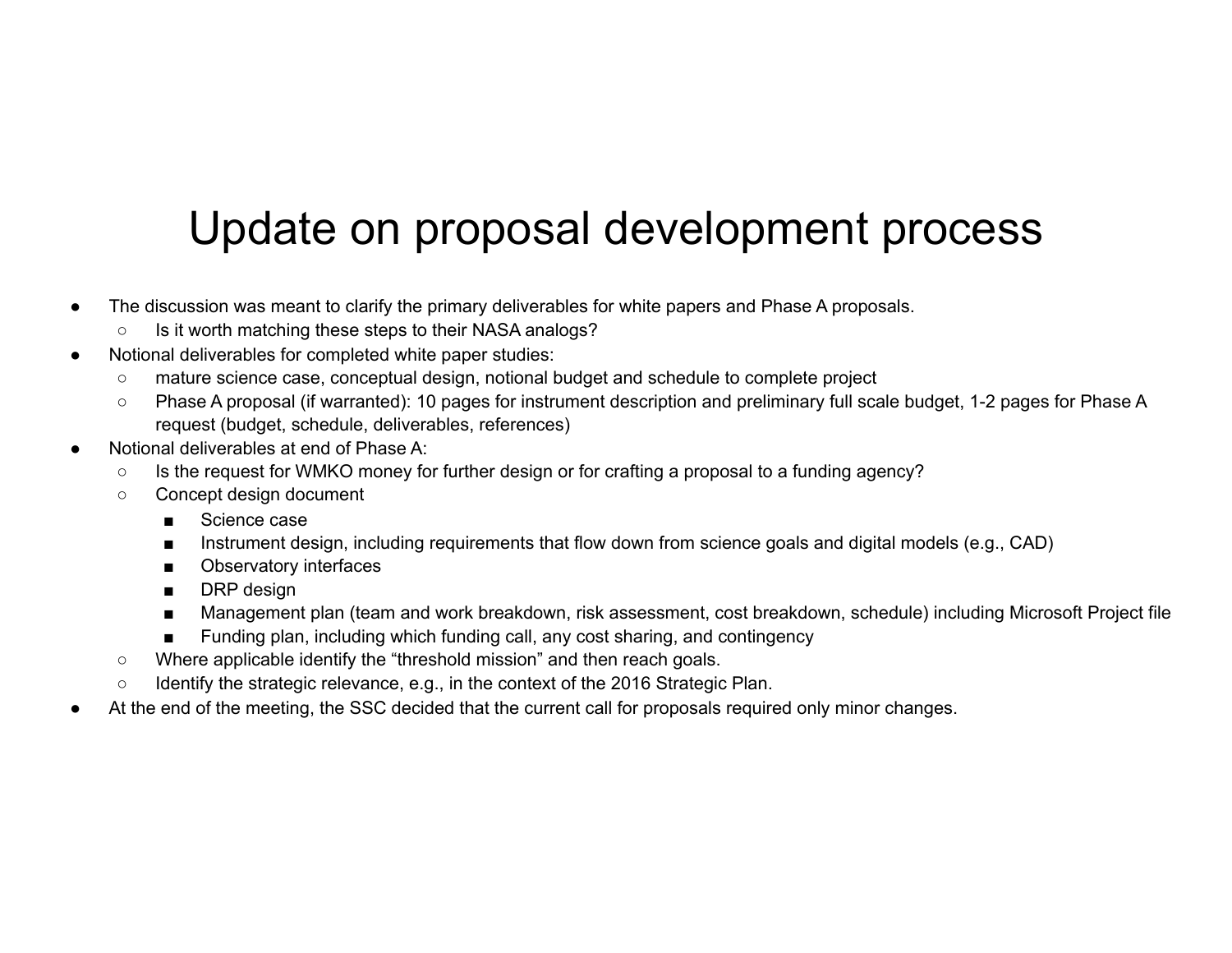### Update on proposal development process

- The discussion was meant to clarify the primary deliverables for white papers and Phase A proposals.
	- Is it worth matching these steps to their NASA analogs?
- Notional deliverables for completed white paper studies:
	- mature science case, conceptual design, notional budget and schedule to complete project
	- Phase A proposal (if warranted): 10 pages for instrument description and preliminary full scale budget, 1-2 pages for Phase A request (budget, schedule, deliverables, references)
- Notional deliverables at end of Phase A:
	- Is the request for WMKO money for further design or for crafting a proposal to a funding agency?
	- Concept design document
		- Science case
		- Instrument design, including requirements that flow down from science goals and digital models (e.g., CAD)
		- Observatory interfaces
		- DRP design
		- Management plan (team and work breakdown, risk assessment, cost breakdown, schedule) including Microsoft Project file
		- Funding plan, including which funding call, any cost sharing, and contingency
	- Where applicable identify the "threshold mission" and then reach goals.
	- Identify the strategic relevance, e.g., in the context of the 2016 Strategic Plan.
- At the end of the meeting, the SSC decided that the current call for proposals required only minor changes.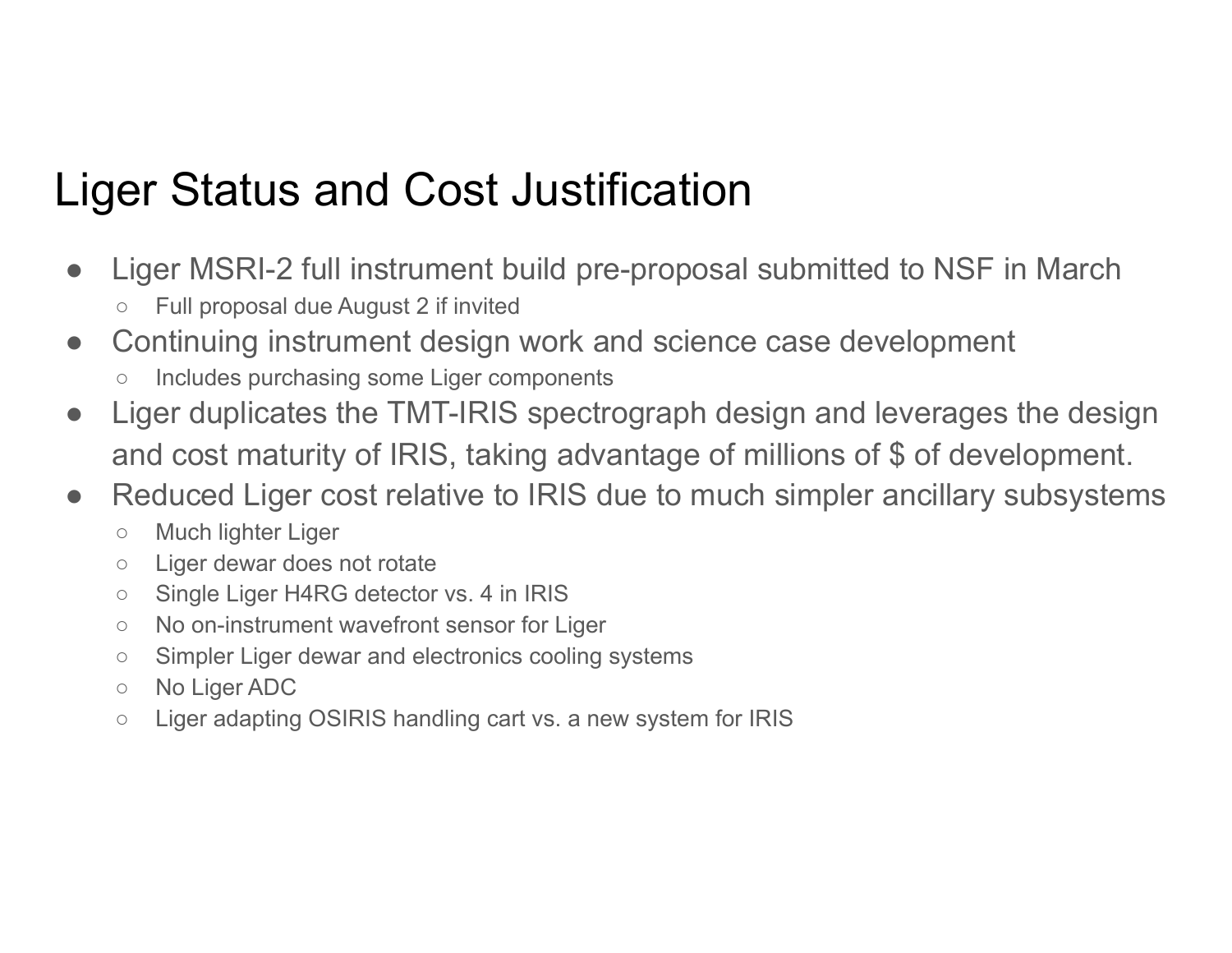### Liger Status and Cost Justification

- Liger MSRI-2 full instrument build pre-proposal submitted to NSF in March ○ Full proposal due August 2 if invited
- Continuing instrument design work and science case development
	- Includes purchasing some Liger components
- Liger duplicates the TMT-IRIS spectrograph design and leverages the design and cost maturity of IRIS, taking advantage of millions of \$ of development.
- Reduced Liger cost relative to IRIS due to much simpler ancillary subsystems
	- Much lighter Liger
	- Liger dewar does not rotate
	- Single Liger H4RG detector vs. 4 in IRIS
	- No on-instrument wavefront sensor for Liger
	- Simpler Liger dewar and electronics cooling systems
	- No Liger ADC
	- Liger adapting OSIRIS handling cart vs. a new system for IRIS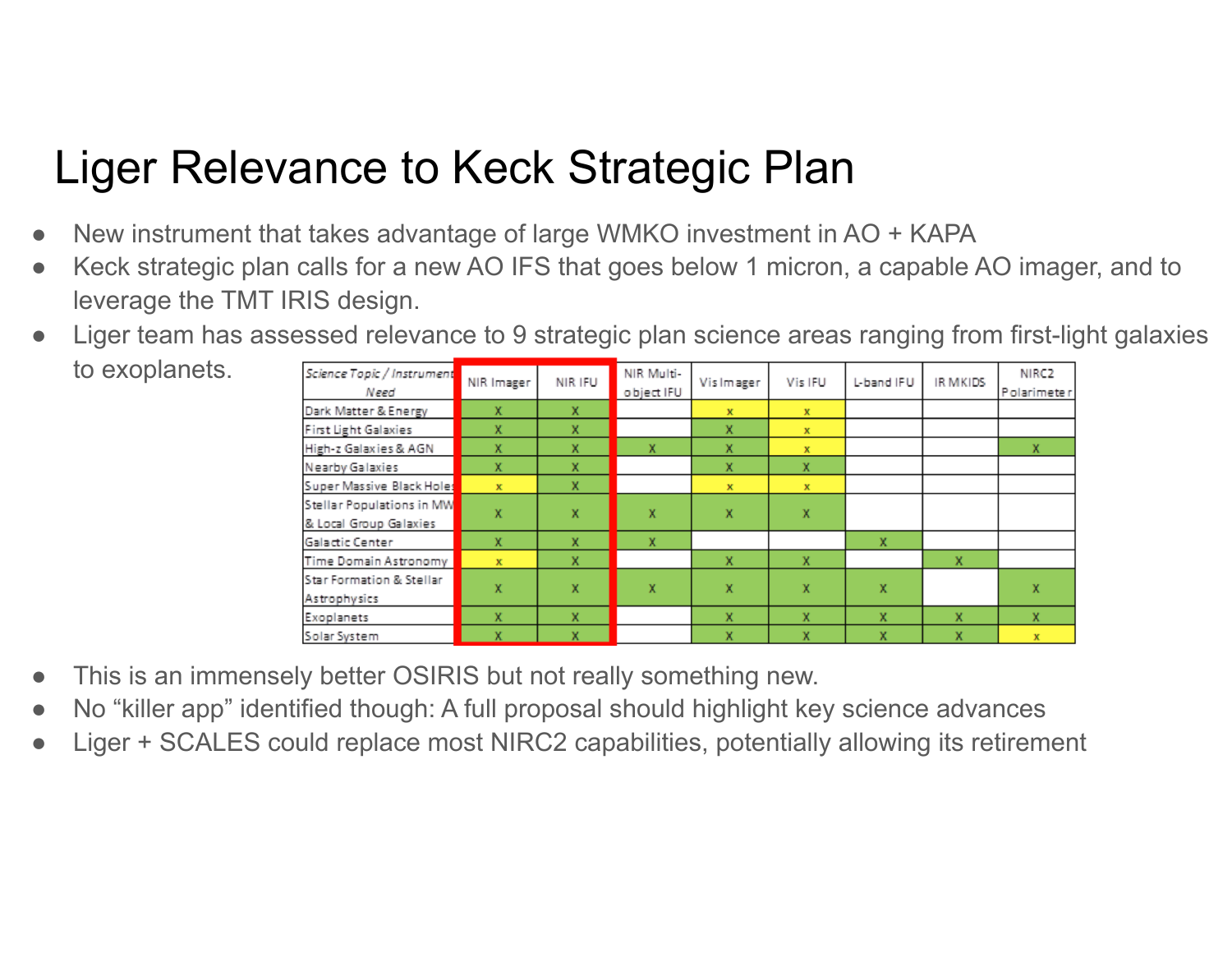### Liger Relevance to Keck Strategic Plan

- New instrument that takes advantage of large WMKO investment in AO + KAPA
- Keck strategic plan calls for a new AO IFS that goes below 1 micron, a capable AO imager, and to leverage the TMT IRIS design.
- Liger team has assessed relevance to 9 strategic plan science areas ranging from first-light galaxies to exoplanets.

| Science Topic / Instrument<br>Need       | NIR Imager   | NIR IFU | NIR Multi-<br>object IFU | Vis Imager   | Vis IFU      | L-band IFU | IR MKIDS | NIRC <sub>2</sub><br>Polarimeter |
|------------------------------------------|--------------|---------|--------------------------|--------------|--------------|------------|----------|----------------------------------|
| Dark Matter & Energy                     | x            | x       |                          | x            | $\mathbf{x}$ |            |          |                                  |
| <b>First Light Galaxies</b>              | x            | x       |                          | x            | $\mathbf x$  |            |          |                                  |
| High-z Galaxies & AGN                    | x            | x       | $\mathbf x$              | x            | $\mathbf x$  |            |          | x                                |
| Nearby Galaxies                          | x            | x       |                          | x            | x            |            |          |                                  |
| Super Massive Black Holes                | $\mathbf{x}$ | x       |                          | $\mathbf{x}$ | $\mathbf{x}$ |            |          |                                  |
| Stellar Populations in MW                | x            | x       | $\mathbf x$              | x            | x            |            |          |                                  |
| & Local Group Galaxies                   |              |         |                          |              |              |            |          |                                  |
| Galactic Center                          | x            | x       | x                        |              |              | x          |          |                                  |
| Time Domain Astronomy                    | $\mathbf{x}$ | x       |                          | x            | x            |            | x        |                                  |
| Star Formation & Stellar<br>Astrophysics | x            | x       | x                        | x            | x            | x          |          | x                                |
| Exoplanets                               | x.           | x       |                          | X.           | x            | x          | x        | x                                |
| Solar System                             | x            | x       |                          | x            | x            | x          | x        | $\mathbf{x}$                     |

- This is an immensely better OSIRIS but not really something new.
- No "killer app" identified though: A full proposal should highlight key science advances
- Liger + SCALES could replace most NIRC2 capabilities, potentially allowing its retirement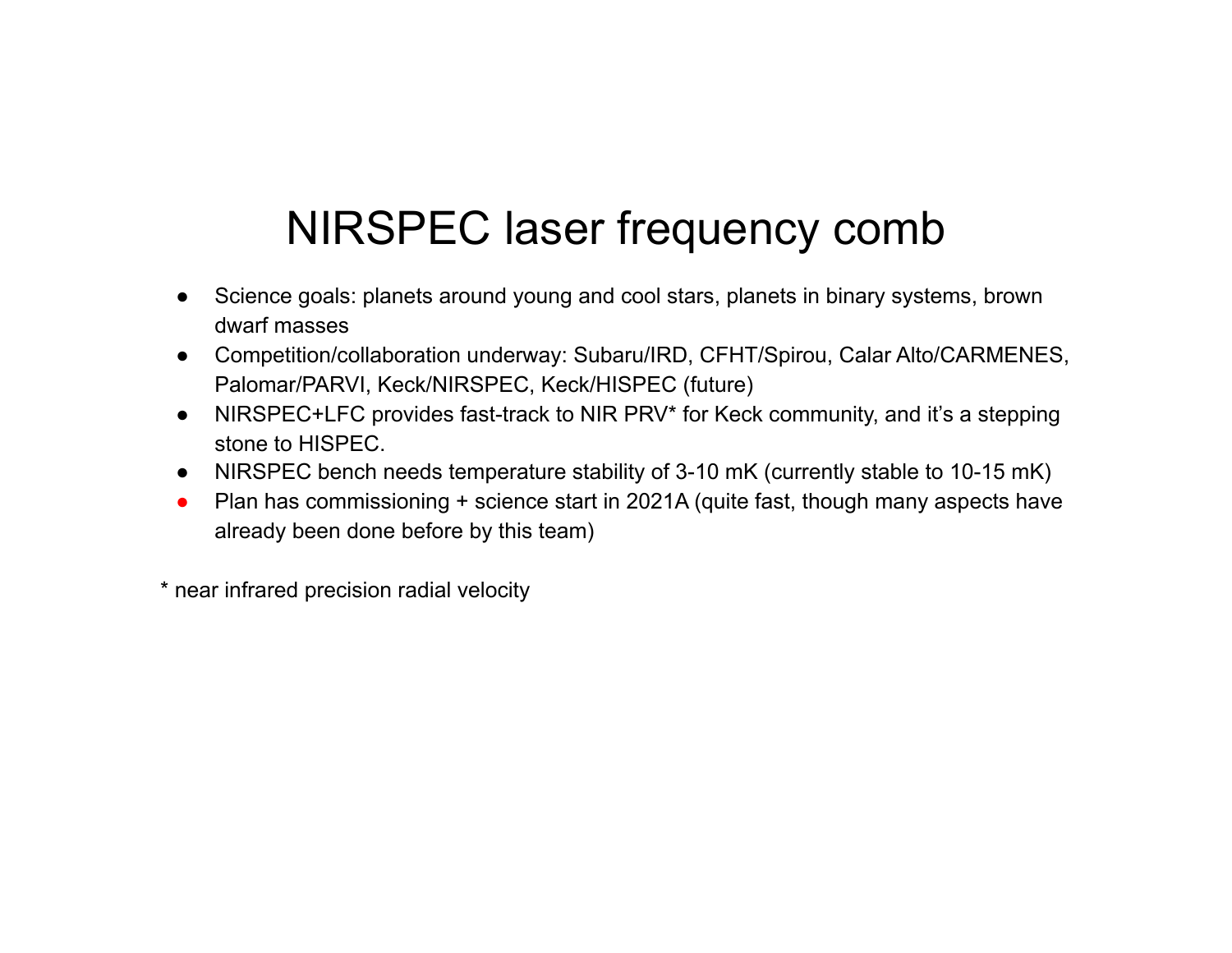### NIRSPEC laser frequency comb

- Science goals: planets around young and cool stars, planets in binary systems, brown dwarf masses
- Competition/collaboration underway: Subaru/IRD, CFHT/Spirou, Calar Alto/CARMENES, Palomar/PARVI, Keck/NIRSPEC, Keck/HISPEC (future)
- NIRSPEC+LFC provides fast-track to NIR PRV\* for Keck community, and it's a stepping stone to HISPEC.
- NIRSPEC bench needs temperature stability of 3-10 mK (currently stable to 10-15 mK)
- Plan has commissioning + science start in 2021A (quite fast, though many aspects have already been done before by this team)

\* near infrared precision radial velocity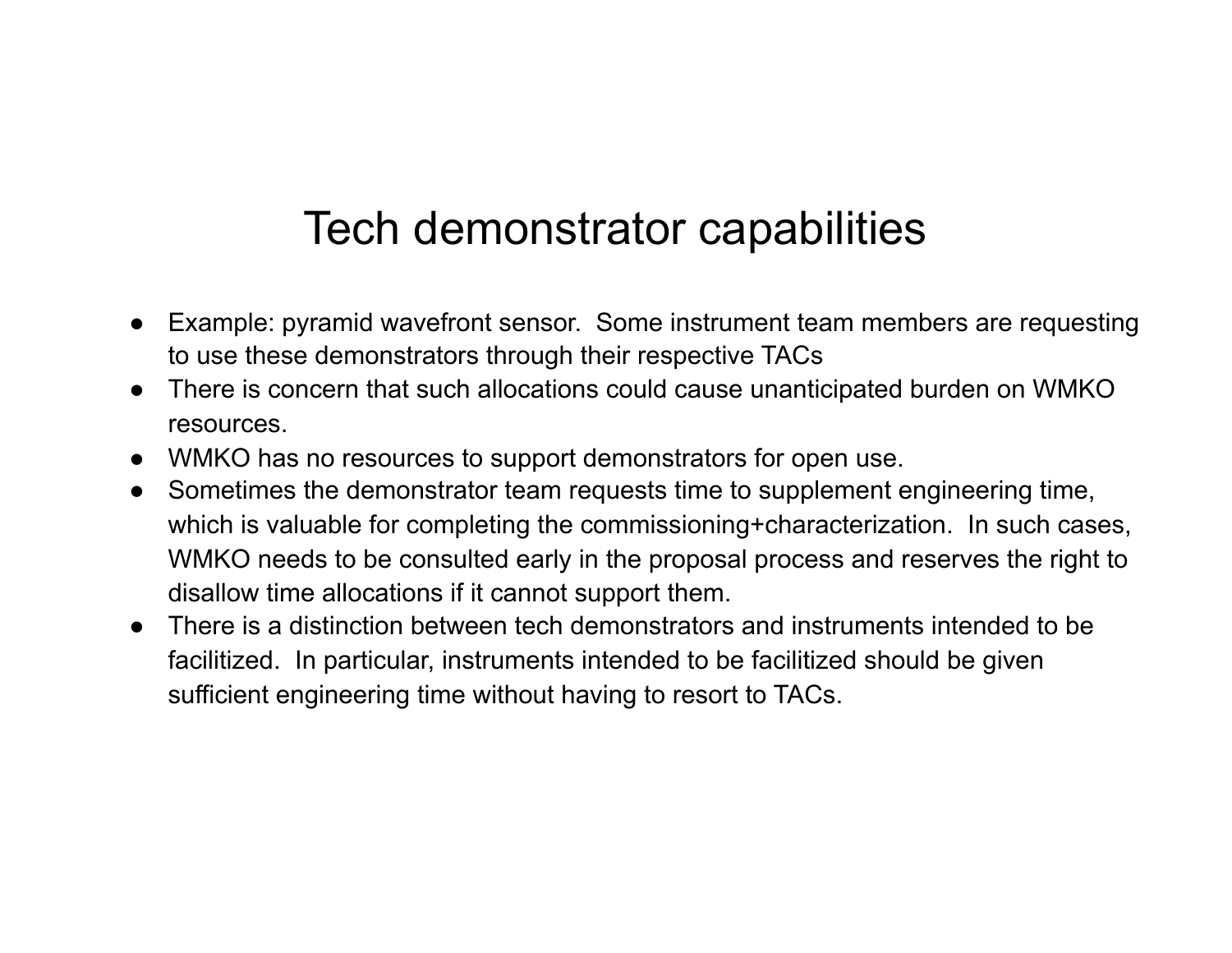#### Tech demonstrator capabilities

- Example: pyramid wavefront sensor. Some instrument team members are requesting to use these demonstrators through their respective TACs
- There is concern that such allocations could cause unanticipated burden on WMKO resources.
- WMKO has no resources to support demonstrators for open use.
- Sometimes the demonstrator team requests time to supplement engineering time, which is valuable for completing the commissioning+characterization. In such cases, WMKO needs to be consulted early in the proposal process and reserves the right to disallow time allocations if it cannot support them.
- There is a distinction between tech demonstrators and instruments intended to be facilitized. In particular, instruments intended to be facilitized should be given sufficient engineering time without having to resort to TACs.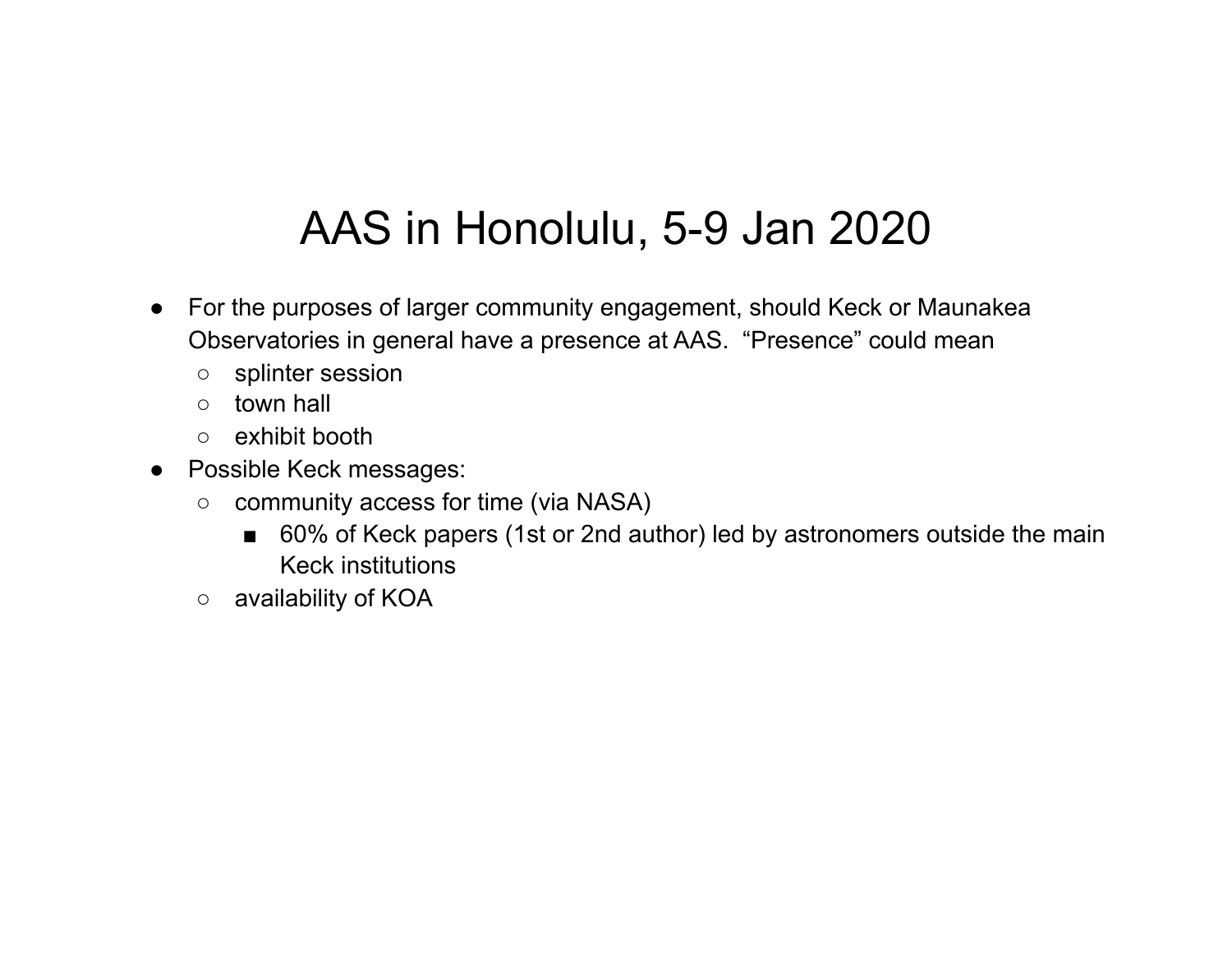### AAS in Honolulu, 5-9 Jan 2020

- For the purposes of larger community engagement, should Keck or Maunakea Observatories in general have a presence at AAS. "Presence" could mean
	- splinter session
	- town hall
	- exhibit booth
- Possible Keck messages:
	- community access for time (via NASA)
		- 60% of Keck papers (1st or 2nd author) led by astronomers outside the main Keck institutions
	- availability of KOA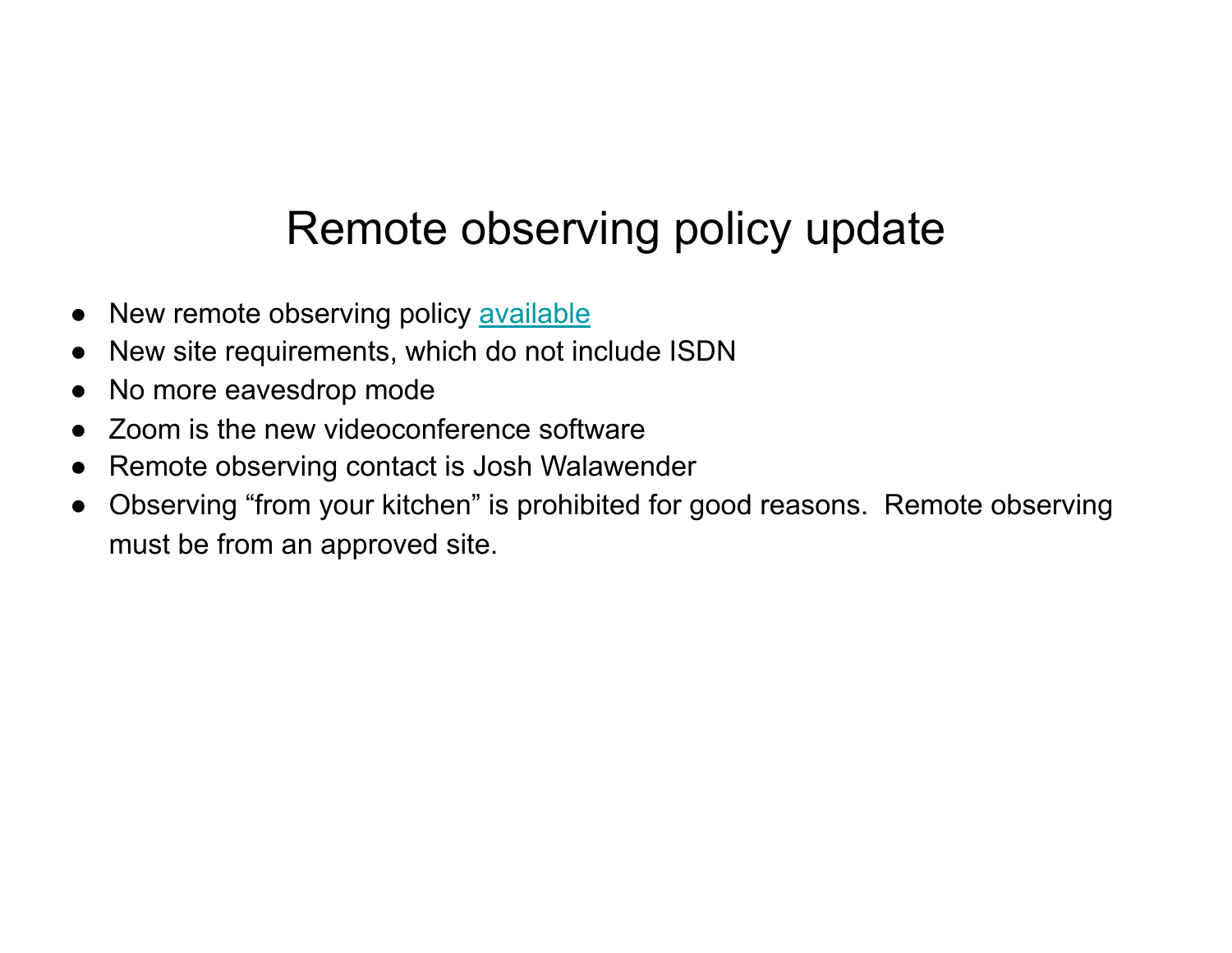### Remote observing policy update

- New remote observing policy available
- New site requirements, which do not include ISDN
- No more eavesdrop mode
- Zoom is the new videoconference software
- Remote observing contact is Josh Walawender
- Observing "from your kitchen" is prohibited for good reasons. Remote observing must be from an approved site.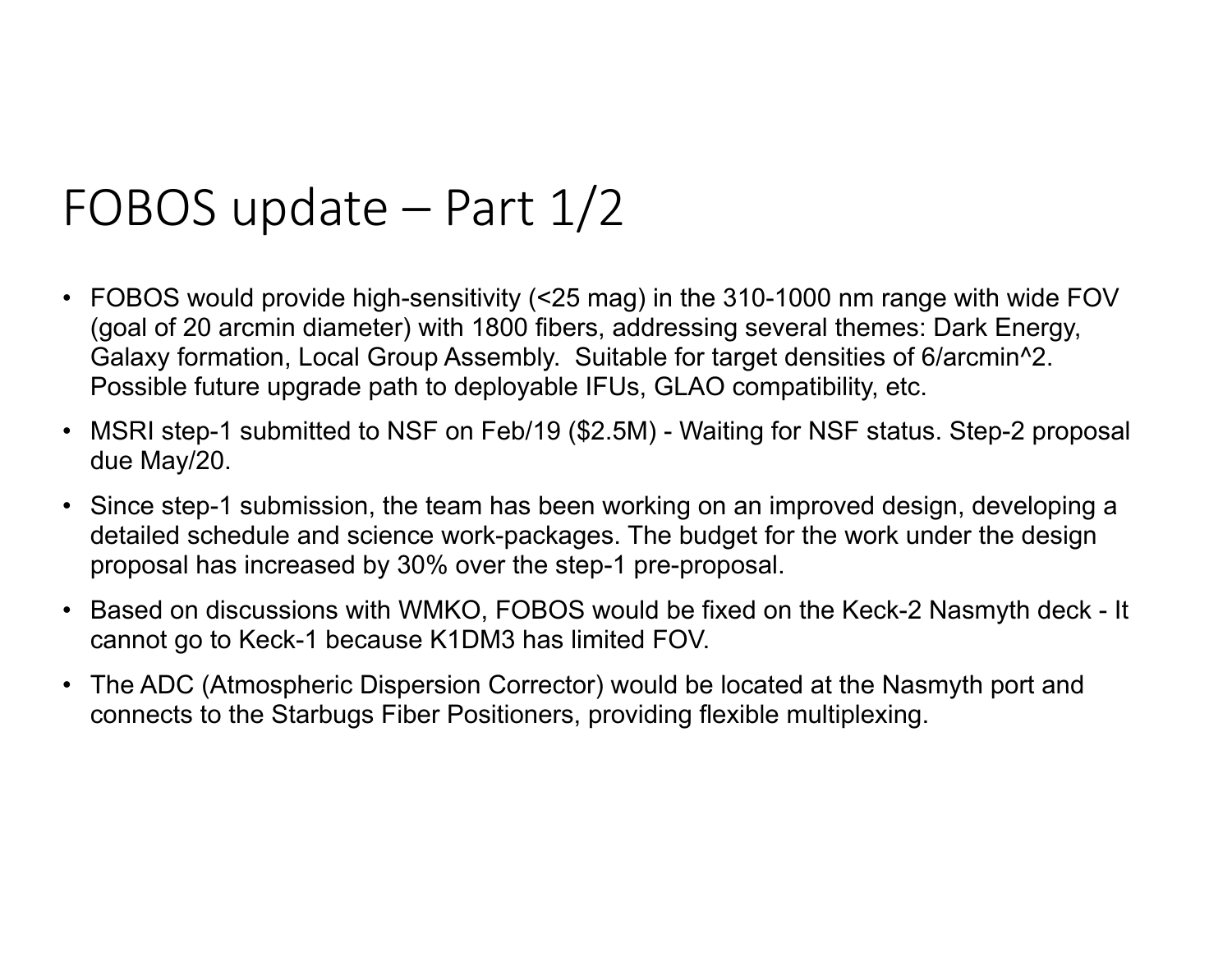## FOBOS update – Part 1/2

- FOBOS would provide high-sensitivity (<25 mag) in the 310-1000 nm range with wide FOV (goal of 20 arcmin diameter) with 1800 fibers, addressing several themes: Dark Energy, Galaxy formation, Local Group Assembly. Suitable for target densities of 6/arcmin^2. Possible future upgrade path to deployable IFUs, GLAO compatibility, etc.
- MSRI step-1 submitted to NSF on Feb/19 (\$2.5M) Waiting for NSF status. Step-2 proposal due May/20.
- Since step-1 submission, the team has been working on an improved design, developing a detailed schedule and science work-packages. The budget for the work under the design proposal has increased by 30% over the step-1 pre-proposal.
- Based on discussions with WMKO, FOBOS would be fixed on the Keck-2 Nasmyth deck It cannot go to Keck-1 because K1DM3 has limited FOV.
- The ADC (Atmospheric Dispersion Corrector) would be located at the Nasmyth port and connects to the Starbugs Fiber Positioners, providing flexible multiplexing.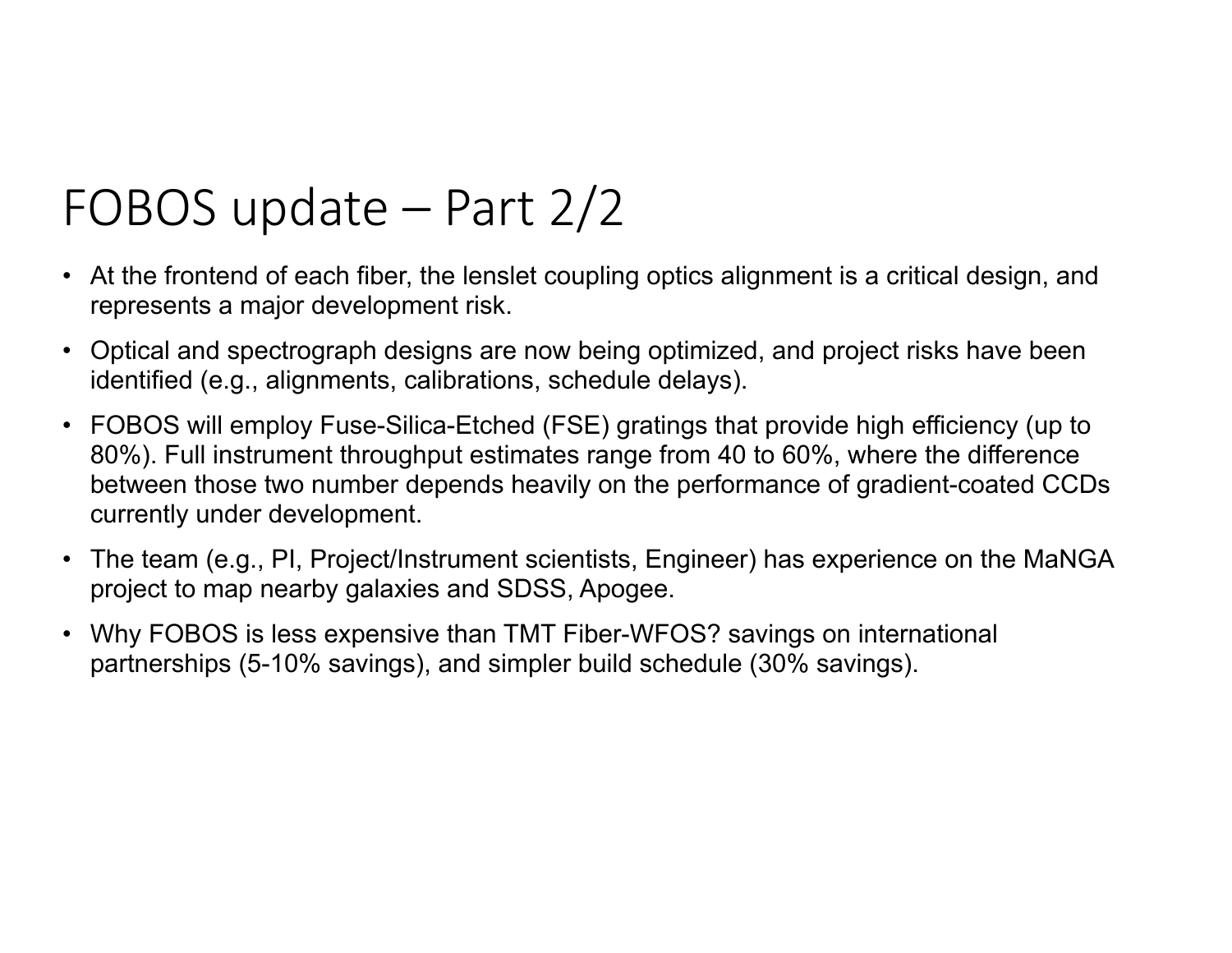# FOBOS update – Part 2/2

- At the frontend of each fiber, the lenslet coupling optics alignment is a critical design, and represents a major development risk.
- Optical and spectrograph designs are now being optimized, and project risks have been identified (e.g., alignments, calibrations, schedule delays).
- FOBOS will employ Fuse-Silica-Etched (FSE) gratings that provide high efficiency (up to 80%). Full instrument throughput estimates range from 40 to 60%, where the difference between those two number depends heavily on the performance of gradient-coated CCDs currently under development.
- The team (e.g., PI, Project/Instrument scientists, Engineer) has experience on the MaNGA project to map nearby galaxies and SDSS, Apogee.
- Why FOBOS is less expensive than TMT Fiber-WFOS? savings on international partnerships (5-10% savings), and simpler build schedule (30% savings).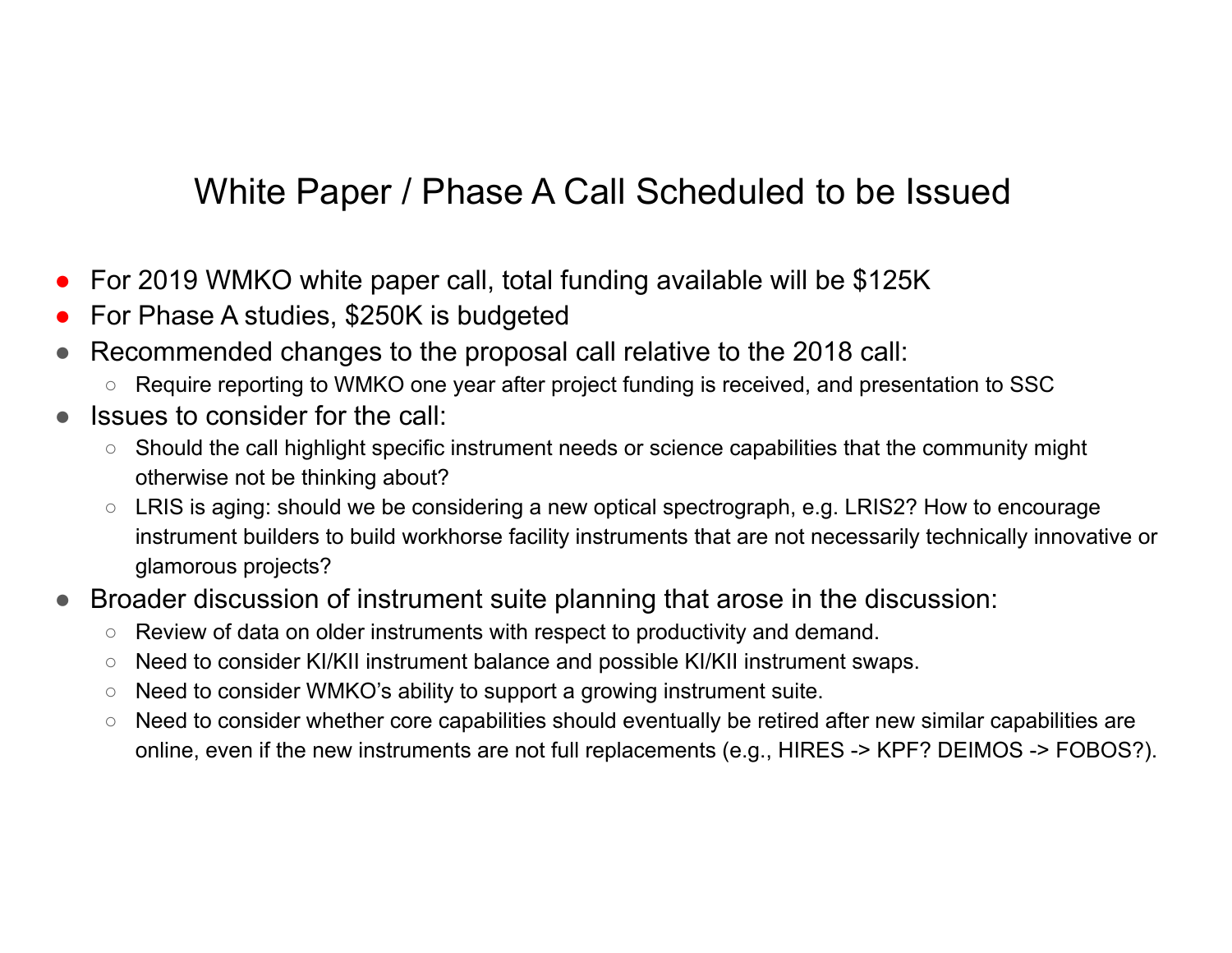#### White Paper / Phase A Call Scheduled to be Issued

- For 2019 WMKO white paper call, total funding available will be \$125K
- For Phase A studies, \$250K is budgeted
- Recommended changes to the proposal call relative to the 2018 call:
	- Require reporting to WMKO one year after project funding is received, and presentation to SSC
- Issues to consider for the call:
	- Should the call highlight specific instrument needs or science capabilities that the community might otherwise not be thinking about?
	- LRIS is aging: should we be considering a new optical spectrograph, e.g. LRIS2? How to encourage instrument builders to build workhorse facility instruments that are not necessarily technically innovative or glamorous projects?
- Broader discussion of instrument suite planning that arose in the discussion:
	- Review of data on older instruments with respect to productivity and demand.
	- Need to consider KI/KII instrument balance and possible KI/KII instrument swaps.
	- Need to consider WMKO's ability to support a growing instrument suite.
	- Need to consider whether core capabilities should eventually be retired after new similar capabilities are online, even if the new instruments are not full replacements (e.g., HIRES -> KPF? DEIMOS -> FOBOS?).